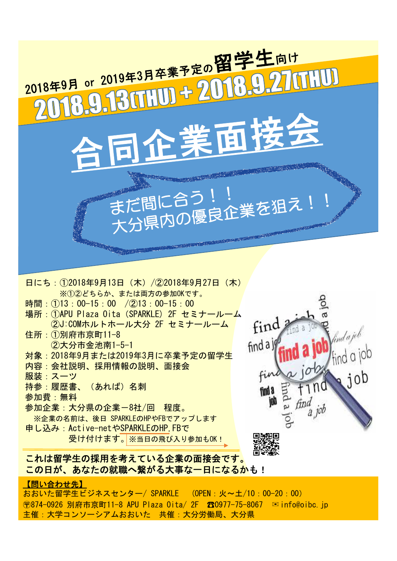

日にち:①2018年9月13日(木)/②2018年9月27日(木) ※①②どちらか、または両方の参加OKです。 時間: ①13:00-15:00 / ②13:00-15:00 場所: ①APU Plaza Oita (SPARKLE) 2F セミナールーム ②J:COMホルトホール大分 2F セミナールーム 住所:①別府市京町11-8 ②大分市金池南1-5-1 対象:2018年9月または2019年3月に卒業予定の留学生 内容:会社説明、採用情報の説明、面接会 服装:スーツ 持参:履歴書、(あれば)名刺 参加費:無料 参加企業:大分県の企業-8社/回 程度。 ※企業の名前は、後日 SPARKLEのHPやFBでアップします

申し込み:Active-netやSPARKLEのHP,FBで 受け付けます。※当日の飛び入り参加もOK!



## これは留学生の採用を考えている企業の面接会です。 この日が、あなたの就職へ繋がる大事な一日になるかも!

## 【問い合わせ先】

おおいた留学生ビジネスセンター/ SPARKLE (OPEN:火~土/10:00-20:00) 〶874-0926 別府市京町11-8 APU Plaza Oita/ 2F ☎0977-75-8067 ✉info@oibc.jp 主催:大学コンソーシアムおおいた 共催:大分労働局、大分県